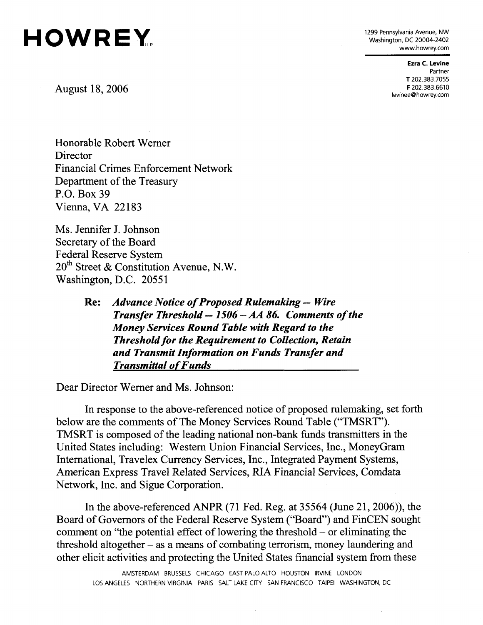

Washington, DC 20004-2402 [www.howrey.com](http://www.howrey.com) 

> **Ezra C. Levine**  Partner T 202.383.7055

F 202.383.6610 Augus [levinee@howrey.com](mailto:levinee@howrey.com)  t 18, 2006

Honorable Robert Werner **Director** Financial Crimes Enforcement Network Department of the Treasury P.O. Box 39 Vienna, VA 22183

Ms. Jennifer J. Johnson Secretary of the Board Federal Reserve System 20<sup>th</sup> Street & Constitution Avenue, N.W. Washington, D.C. 20551

Dear Director Werner and Ms. Johnson:

In response to the above-referenced notice of proposed rulemaking, set forth below are the comments of The Money Services Round Table ("TMSRT"). TMSRT is composed of the leading national non-bank funds transmitters in the United States including: Western Union Financial Services, Inc., MoneyGram International, Travelex Currency Services, Inc., Integrated Payment Systems, American Express Travel Related Services, RIA Financial Services, Comdata Network, Inc. and Sigue Corporation.

In the above-referenced ANPR (71 Fed. Reg. at 35564 (June 21, 2006)), the Board of Governors of the Federal Reserve System ("Board") and FinCEN sought comment on "the potential effect of lowering the threshold  $-$  or eliminating the threshold altogether  $-$  as a means of combating terrorism, money laundering and other elicit activities and protecting the United States financial system from these

 $\hat{\mathcal{A}}$ 

**Re:** *Advance Notice of Proposed Rulemaking — Wire Transfer Threshold — 1506 - AA 86. Comments of the Money Services Round Table with Regard to the Threshold for the Requirement to Collection, Retain and Transmit Information on Funds Transfer and Transmittal of Funds*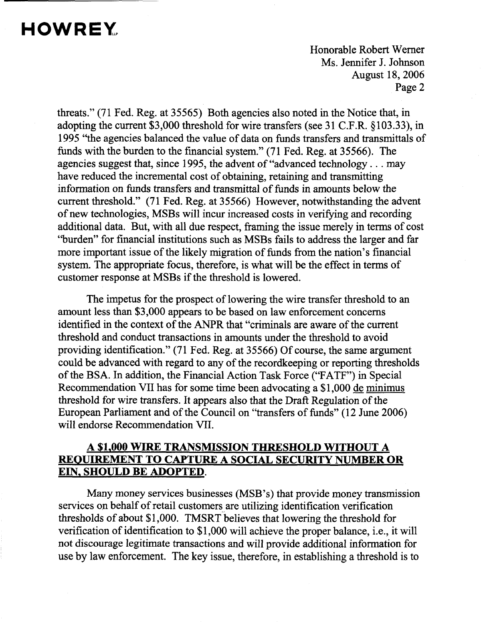Honorable Robert Werner Ms. Jennifer J. Johnson **August 18, 2006** Page 2

threats." (71 Fed. Reg. at 35565) Both agencies also noted in the Notice that, in adopting the current \$3,000 threshold for wire transfers (see 31 C.F.R. §103.33), in 1995 "the agencies balanced the value of data on funds transfers and transmittals of funds with the burden to the financial system." (71 Fed. Reg. at 35566). The agencies suggest that, since 1995, the advent of "advanced technology .. . may have reduced the incremental cost of obtaining, retaining and transmitting information on funds transfers and transmittal of funds in amounts below the current threshold." (71 Fed. Reg. at 35566) However, notwithstanding the advent of new technologies, MSBs will incur increased costs in verifying and recording additional data. But, with all due respect, framing the issue merely in terms of cost "burden" for financial institutions such as MSBs fails to address the larger and far more important issue of the likely migration of funds from the nation's financial system. The appropriate focus, therefore, is what will be the effect in terms of customer response at MSBs if the threshold is lowered.

The impetus for the prospect of lowering the wire transfer threshold to an amount less than \$3,000 appears to be based on law enforcement concerns identified in the context of the ANPR that "criminals are aware of the current threshold and conduct transactions in amounts under the threshold to avoid providing identification." (71 Fed. Reg. at 35566) Of course, the same argument could be advanced with regard to any of the recordkeeping or reporting thresholds of the BSA. In addition, the Financial Action Task Force ("FATF") in Special Recommendation VII has for some time been advocating a \$1,000 de minimus threshold for wire transfers. It appears also that the Draft Regulation of the European Parliament and of the Council on "transfers of funds" (12 June 2006) will endorse Recommendation VII.

### **A \$1.000 WIRE TRANSMISSION THRESHOLD WITHOUT A REQUIREMENT TO CAPTURE A SOCIAL SECURITY NUMBER OR EIN. SHOULD BE ADOPTED.**

Many money services businesses (MSB's) that provide money transmission services on behalf of retail customers are utilizing identification verification thresholds of about \$1,000. TMSRT believes that lowering the threshold for verification of identification to \$1,000 will achieve the proper balance, i.e., it will not discourage legitimate transactions and will provide additional information for use by law enforcement. The key issue, therefore, in establishing a threshold is to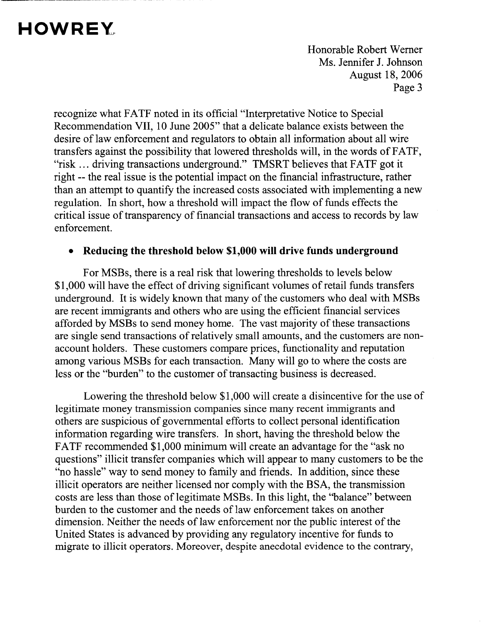Honorable Robert Werner Ms. Jennifer J. Johnson **August 18, 2006** Page 3

recognize what FATF noted in its official "Interpretative Notice to Special Recommendation VII, 10 June 2005" that a delicate balance exists between the desire of law enforcement and regulators to obtain all information about all wire transfers against the possibility that lowered thresholds will, in the words of FATF, "risk ... driving transactions underground." TMSRT believes that FATF got it right — the real issue is the potential impact on the financial infrastructure, rather than an attempt to quantify the increased costs associated with implementing a new regulation. In short, how a threshold will impact the flow of funds effects the critical issue of transparency of financial transactions and access to records by law enforcement.

### • **Reducing the threshold below \$1,000 will drive funds underground**

For MSBs, there is a real risk that lowering thresholds to levels below \$1,000 will have the effect of driving significant volumes of retail funds transfers underground. It is widely known that many of the customers who deal with MSBs are recent immigrants and others who are using the efficient financial services afforded by MSBs to send money home. The vast majority of these transactions are single send transactions of relatively small amounts, and the customers are nonaccount holders. These customers compare prices, functionality and reputation among various MSBs for each transaction. Many will go to where the costs are less or the "burden" to the customer of transacting business is decreased.

Lowering the threshold below \$1,000 will create a disincentive for the use of legitimate money transmission companies since many recent immigrants and others are suspicious of governmental efforts to collect personal identification information regarding wire transfers. In short, having the threshold below the FATF recommended \$1,000 minimum will create an advantage for the "ask no questions" illicit transfer companies which will appear to many customers to be the "no hassle" way to send money to family and friends. In addition, since these illicit operators are neither licensed nor comply with the BSA, the transmission costs are less than those of legitimate MSBs. In this light, the "balance" between burden to the customer and the needs of law enforcement takes on another dimension. Neither the needs of law enforcement nor the public interest of the United States is advanced by providing any regulatory incentive for funds to migrate to illicit operators. Moreover, despite anecdotal evidence to the contrary,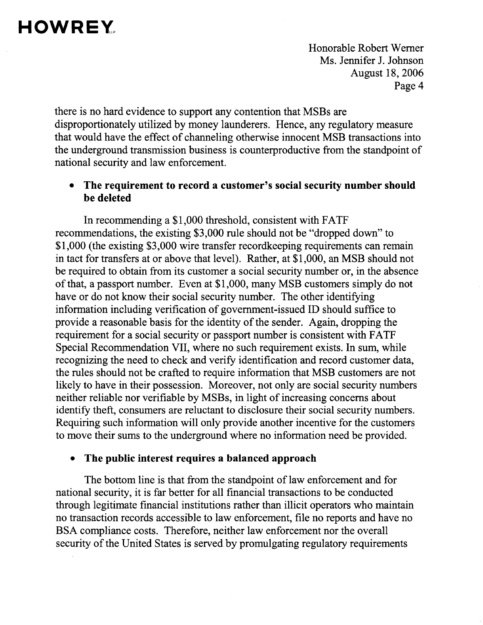Honorable Robert Werner Ms. Jennifer J. Johnson August 18, 2006 Page 4

there is no hard evidence to support any contention that MSBs are disproportionately utilized by money launderers. Hence, any regulatory measure that would have the effect of channeling otherwise innocent MSB transactions into the underground transmission business is counterproductive from the standpoint of national security and law enforcement.

### • **The requirement to record a customer's social security number should be deleted**

In recommending a \$1,000 threshold, consistent with FATF recommendations, the existing \$3,000 rule should not be "dropped down" to \$1,000 (the existing \$3,000 wire transfer record keeping requirements can remain in tact for transfers at or above that level). Rather, at \$1,000, an MSB should not be required to obtain from its customer a social security number or, in the absence of that, a passport number. Even at \$1,000, many MSB customers simply do not have or do not know their social security number. The other identifying information including verification of government-issued ID should suffice to provide a reasonable basis for the identity of the sender. Again, dropping the requirement for a social security or passport number is consistent with FATF Special Recommendation VII, where no such requirement exists. In sum, while recognizing the need to check and verify identification and record customer data, the rules should not be crafted to require information that MSB customers are not likely to have in their possession. Moreover, not only are social security numbers neither reliable nor verifiable by MSBs, in light of increasing concerns about identify theft, consumers are reluctant to disclosure their social security numbers. Requiring such information will only provide another incentive for the customers to move their sums to the underground where no information need be provided.

#### • **The public interest requires a balanced approach**

The bottom line is that from the standpoint of law enforcement and for national security, it is far better for all financial transactions to be conducted through legitimate financial institutions rather than illicit operators who maintain no transaction records accessible to law enforcement, file no reports and have no BSA compliance costs. Therefore, neither law enforcement nor the overall security of the United States is served by promulgating regulatory requirements